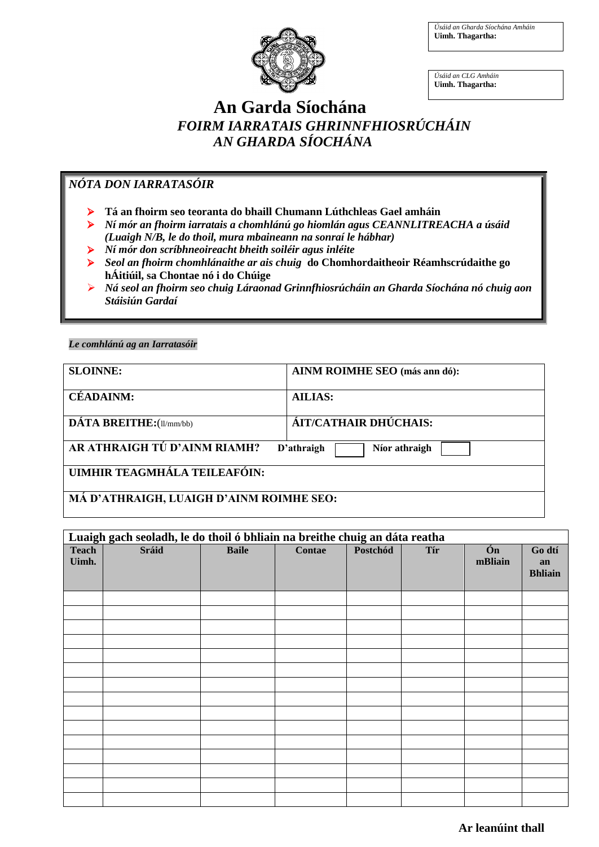*Úsáid an Gharda Síochána Amháin* **Uimh. Thagartha:**



*Úsáid an CLG Amháin* **Uimh. Thagartha:**

## **An Garda Síochána**  *FOIRM IARRATAIS GHRINNFHIOSRÚCHÁIN AN GHARDA SÍOCHÁNA*

### *NÓTA DON IARRATASÓIR*

- **Tá an fhoirm seo teoranta do bhaill Chumann Lúthchleas Gael amháin**
- *Ní mór an fhoirm iarratais a chomhlánú go hiomlán agus CEANNLITREACHA a úsáid (Luaigh N/B, le do thoil, mura mbaineann na sonraí le hábhar)*
- *Ní mór don scríbhneoireacht bheith soiléir agus inléite*
- *Seol an fhoirm chomhlánaithe ar ais chuig* **do Chomhordaitheoir Réamhscrúdaithe go hÁitiúil, sa Chontae nó i do Chúige**
- *Ná seol an fhoirm seo chuig Láraonad Grinnfhiosrúcháin an Gharda Síochána nó chuig aon Stáisiún Gardaí*

### *Le comhlánú ag an Iarratasóir*

| <b>SLOINNE:</b>                                             | AINM ROIMHE SEO (más ann dó): |  |
|-------------------------------------------------------------|-------------------------------|--|
| <b>CÉADAINM:</b>                                            | <b>AILIAS:</b>                |  |
| DÁTA BREITHE: (11/mm/bb)                                    | ÁIT/CATHAIR DHÚCHAIS:         |  |
| AR ATHRAIGH TÚ D'AINM RIAMH?<br>D'athraigh<br>Níor athraigh |                               |  |
| UIMHIR TEAGMHÁLA TEILEAFÓIN:                                |                               |  |
| MÁ D'ATHRAIGH, LUAIGH D'AINM ROIMHE SEO:                    |                               |  |

# **Luaigh gach seoladh, le do thoil ó bhliain na breithe chuig an dáta reatha Teach Uimh. Sráid Baile Contae Postchód Tír Ón mBliain Go dtí an Bhliain**

### **Ar leanúint thall**